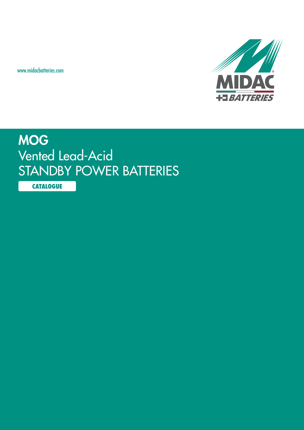www.midacbatteries.com



## MOG Vented Lead-Acid STANDBY POWER BATTERIES

**CATALOGUE**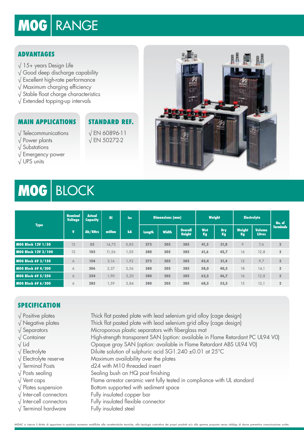# MOG RANGE

## **Advantages**

- √ 15+ years Design Life
- √ Good deep discharge capability
- √ Excellent high-rate performance
- √ Maximum charging efficiency
- √ Stable float charge characteristics
- √ Extended topping-up intervals

## **Main Applications**

**Standard Ref.** √ EN 60896-11

√ EN 50272-2

- √ Telecommunications √ Power plants
- √ Substations
- √ Emergency power
- √ UPS units



## MOG BLOCK

| <b>Type</b>               | Nominal<br><b>Voltage</b> | <b>Actual</b><br><b>Capacity</b> | <b>Ri</b> | <b>Isc</b> | <b>Dimensions (mm)</b> |              |                                 | Weight    |                  | <b>Electrolyte</b>   |                                | No. of           |
|---------------------------|---------------------------|----------------------------------|-----------|------------|------------------------|--------------|---------------------------------|-----------|------------------|----------------------|--------------------------------|------------------|
|                           | $\mathbf{V}$              | Ah/8Hrs                          | m0hm      | kA         | <b>Length</b>          | <b>Width</b> | <b>Overall</b><br><b>Height</b> | Wet<br>Kg | <b>Dry</b><br>Kg | <b>Weight</b><br>Kg, | <b>Volume</b><br><b>Litres</b> | <b>Terminals</b> |
| <b>MOG Block 12V 1/50</b> | 12                        | 52                               | 14,75     | 0,83       | 272                    | 205          | 385                             | 41,3      | 31,8             | 9                    | 7,6                            | $\overline{2}$   |
| MOG Block 12V 2/100       | 12                        | 103                              | 11,56     | 1,05       | 380                    | 205          | 385                             | 61,6      | 45,7             | 16                   | 12,8                           | $\mathbf{2}$     |
| <b>MOG Block 6V 3/150</b> | 6                         | 154                              | 3,16      | 1,92       | 272                    | 205          | 385                             | 43,4      | 31,4             | 12                   | 9,7                            | $\mathbf{2}$     |
| <b>MOG Block 6V 4/200</b> | 6                         | 206                              | 2,37      | 2,56       | 380                    | 205          | 385                             | 58,0      | 40,5             | 18                   | 14,1                           | $\overline{2}$   |
| <b>MOG Block 6V 5/250</b> | 6                         | 254                              | 1,90      | 3,20       | 380                    | 205          | 385                             | 62,5      | 46,7             | 16                   | 12,8                           | $\overline{2}$   |
| <b>MOG Block 6V 6/300</b> | 6                         | 285                              | .,59      | 3,84       | 380                    | 205          | 385                             | 68,5      | 53,5             | 15                   | 12,1                           | $\overline{2}$   |

## **SPECIFICATION**

- 
- 
- 
- 
- 
- 
- 
- 
- 
- 
- 
- 
- 
- 

√ Positive plates Thick flat pasted plate with lead selenium grid alloy (cage design) √ Negative plates Thick flat pasted plate with lead selenium grid alloy (cage design) √ Separators Microporous plastic separators with fiberglass mat √ Container High-strength transparent SAN (option: available in Flame Retardant PC UL94 V0) √ Lid Opaque gray SAN (option: available in Flame Retardant ABS UL94 V0) √ Electrolyte Diluite solution of sulphuric acid SG1.240 ±0.01 at 25°C √ Electrolyte reserve Maximum availability over the plates √ Terminal Posts d24 with M10 threaded insert  $\sqrt{\frac{1}{100}}$  Posts sealing Sealing bush on HQ post finishing √ Vent caps Flame arrestor ceramic vent fully tested in compliance with UL standard √ Plates suspension Bottom supported with sediment space √ Inter-cell connectors Fully insulated copper bar √ Inter-cell connectors Fully insulated flexible connector  $\sqrt{\ }$  Terminal hardware Fully insulated steel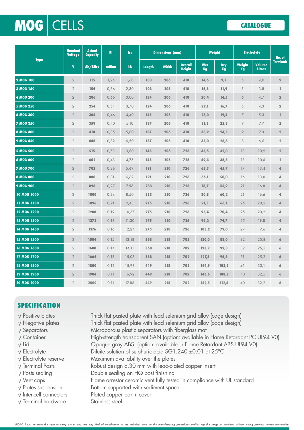## VENTED Lead-Acid | STANDBY POWER BATTERIES **CATALOGUE** MOG CELLS

| <b>Type</b>        | <b>Nominal</b><br><b>Voltage</b> | <b>Actual</b><br><b>Capacity</b> | <b>Ri</b> | <b>Isc</b> | <b>Dimensions (mm)</b> |              |                                 | Weight    |                  | <b>Electrolyte</b>  |                                | No. of           |
|--------------------|----------------------------------|----------------------------------|-----------|------------|------------------------|--------------|---------------------------------|-----------|------------------|---------------------|--------------------------------|------------------|
|                    | $\mathbf{v}$                     | Ah/8Hrs                          | mOhm      | kA         | <b>Length</b>          | <b>Width</b> | <b>Overall</b><br><b>Height</b> | Wet<br>Kg | <b>Dry</b><br>Kg | <b>Weight</b><br>Kg | <b>Volume</b><br><b>Litres</b> | <b>Terminals</b> |
| 2 MOG 100          | $\overline{2}$                   | 115                              | 1,26      | 1,60       | 103                    | 206          | 410                             | 14,6      | 9,7              | $\overline{5}$      | 4,0                            | $\overline{2}$   |
| 3 MOG 150          | $\overline{2}$                   | 154                              | 0,86      | 2,30       | 103                    | 206          | 410                             | 16,6      | 11,9             | $\overline{5}$      | 3,8                            | $\overline{2}$   |
| <b>4 MOG 200</b>   | $\overline{2}$                   | 206                              | 0,66      | 3,00       | 124                    | 206          | 410                             | 20,4      | 14,5             | 6                   | 4,7                            | $\overline{2}$   |
| <b>5 MOG 250</b>   | $\overline{2}$                   | 254                              | 0,54      | 3,70       | 124                    | 206          | 410                             | 22,1      | 16,7             | 5                   | 4,3                            | $\overline{2}$   |
| <b>6 MOG 300</b>   | $\overline{2}$                   | 305                              | 0,46      | 4,40       | 145                    | 206          | 410                             | 26,0      | 19,4             | 7                   | 5,3                            | $\bf{2}$         |
| <b>7 MOG 350</b>   | $\overline{2}$                   | 359                              | 0,40      | 5,10       | 187                    | 206          | 410                             | 31,8      | 22,3             | 9                   | 7,7                            | $\overline{2}$   |
| 8 MOG 400          | $\overline{2}$                   | 410                              | 0,35      | 5,80       | 187                    | 206          | 410                             | 33,2      | 24,5             | 9                   | 7,0                            | $\overline{2}$   |
| 9 MOG 450          | $\overline{2}$                   | 448                              | 0,32      | 6,50       | 187                    | 206          | 410                             | 35,0      | 26,8             | 8                   | 6,6                            | $\bf{2}$         |
| <b>5 MOG 500</b>   | $\overline{2}$                   | 515                              | 0,53      | 3,80       | 145                    | 206          | 726                             | 45,5      | 32,0             | 13                  | 10,9                           | $\mathbf{2}$     |
| 6 MOG 600          | $\overline{2}$                   | 602                              | 0,43      | 4,75       | 145                    | 206          | 726                             | 49,4      | 36,3             | 13                  | 10,6                           | $\bf{2}$         |
| <b>7 MOG 700</b>   | $\overline{2}$                   | 702                              | 0,36      | 5,69       | 191                    | 210          | 726                             | 62,3      | 45,7             | 17                  | 13,4                           | 4                |
| <b>8 MOG 800</b>   | $\overline{2}$                   | 800                              | 0,31      | 6,62       | 191                    | 210          | 726                             | 66,1      | 50,0             | 16                  | 13,0                           | 4                |
| <b>9 MOG 900</b>   | $\overline{2}$                   | 896                              | 0,27      | 7,56       | 233                    | 210          | 726                             | 76,7      | 55,9             | 21                  | 16,8                           | 4                |
| <b>10 MOG 1000</b> | $\overline{2}$                   | 1000                             | 0,24      | 8,50       | 233                    | 210          | 726                             | 80,8      | 60,2             | 21                  | 16,6                           | 4                |
| 11 MOG 1100        | $\overline{2}$                   | 1096                             | 0,21      | 9,43       | 275                    | 210          | 726                             | 91,5      | 66,1             | 25                  | 20,5                           | 4                |
| 12 MOG 1200        | $\overline{2}$                   | 1200                             | 0,19      | 10,37      | 275                    | 210          | 726                             | 95,4      | 70,4             | 25                  | 20,2                           | 4                |
| <b>13 MOG 1300</b> | $\overline{2}$                   | 1272                             | 0,18      | 11,30      | 275                    | 210          | 726                             | 99,2      | 74,7             | 25                  | 19,8                           | 4                |
| 14 MOG 1400        | $\overline{2}$                   | 1376                             | 0,16      | 12,24      | 275                    | 210          | 726                             | 103,2     | 79,0             | 24                  | 19,6                           | 4                |
| 15 MOG 1500        | $\overline{2}$                   | 1504                             | 0,15      | 13,18      | 368                    | 218          | 702                             | 120,0     | 88,0             | 32                  | 25,8                           | 6                |
| 16 MOG 1600        | $\overline{2}$                   | 1600                             | 0,14      | 14,11      | 368                    | 218          | 702                             | 123,9     | 92,3             | 32                  | 25,5                           | 6                |
| 17 MOG 1700        | $\overline{2}$                   | 1664                             | 0,13      | 15,05      | 368                    | 218          | 702                             | 127,8     | 96,6             | 31                  | 25,2                           | 6                |
| <b>18 MOG 1800</b> | $\overline{2}$                   | 1800                             | 0,12      | 15,98      | 449                    | 218          | 702                             | 144,9     | 103,9            | 41                  | 33,1                           | 6                |
| 19 MOG 1900        | $\overline{2}$                   | 1904                             | 0,11      | 16,92      | 449                    | 218          | 702                             | 148,6     | 108,2            | 40                  | 32,5                           | 6                |
| <b>20 MOG 2000</b> | $\overline{2}$                   | 2000                             | 0.11      | 17.86      | 449                    | 218          | 702                             | 152,5     | 112,5            | 40                  | 32.2                           | 6                |

## **SPECIFICATION**

|  | $\sqrt{\ }$ Positive plates |  |  |
|--|-----------------------------|--|--|
|--|-----------------------------|--|--|

- 
- 
- 
- 
- 
- 
- 
- 
- 
- -
- 

Thick flat pasted plate with lead selenium grid alloy (cage design) √ Negative plates Thick flat pasted plate with lead selenium grid alloy (cage design) √ Separators Microporous plastic separators with fiberglass mat √ Container High-strength transparent SAN (option: available in Flame Retardant PC UL94 V0) √ Lid Opaque gray ABS (option: available in Flame Retardant ABS UL94 V0) √ Electrolyte Diluite solution of sulphuric acid SG1.240 ±0.01 at 25°C √ Electrolyte reserve Maximum availability over the plates  $\sqrt{\frac{1}{2}}$  Terminal Posts **Robust design d.30** mm with lead-plated copper insert √ Posts sealing Double sealing on HQ post finishing √ Vent caps Flame arrestor ceramic vent fully tested in compliance with UL standard  $\sqrt{\frac{p}{q}}$  Plates suspension Bottom supported with sediment space √ Inter-cell connectors Plated copper bar + cover √ Terminal hardware Stainless steel